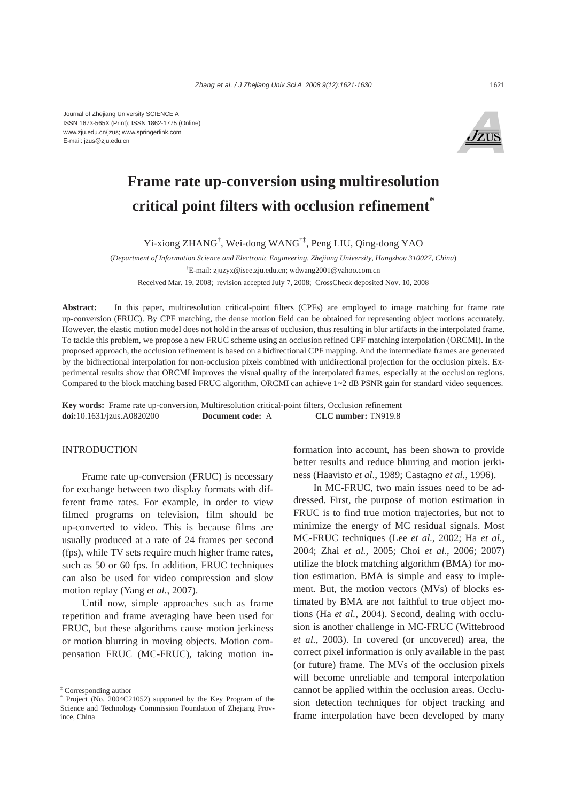Journal of Zhejiang University SCIENCE A ISSN 1673-565X (Print); ISSN 1862-1775 (Online) www.zju.edu.cn/jzus; www.springerlink.com E-mail: jzus@zju.edu.cn



# **Frame rate up-conversion using multiresolution critical point filters with occlusion refinement\***

Yi-xiong ZHANG† , Wei-dong WANG†‡, Peng LIU, Qing-dong YAO

(*Department of Information Science and Electronic Engineering, Zhejiang University, Hangzhou 310027, China*) † E-mail: zjuzyx@isee.zju.edu.cn; wdwang2001@yahoo.com.cn

Received Mar. 19, 2008; revision accepted July 7, 2008; CrossCheck deposited Nov. 10, 2008

**Abstract:** In this paper, multiresolution critical-point filters (CPFs) are employed to image matching for frame rate up-conversion (FRUC). By CPF matching, the dense motion field can be obtained for representing object motions accurately. However, the elastic motion model does not hold in the areas of occlusion, thus resulting in blur artifacts in the interpolated frame. To tackle this problem, we propose a new FRUC scheme using an occlusion refined CPF matching interpolation (ORCMI). In the proposed approach, the occlusion refinement is based on a bidirectional CPF mapping. And the intermediate frames are generated by the bidirectional interpolation for non-occlusion pixels combined with unidirectional projection for the occlusion pixels. Experimental results show that ORCMI improves the visual quality of the interpolated frames, especially at the occlusion regions. Compared to the block matching based FRUC algorithm, ORCMI can achieve 1~2 dB PSNR gain for standard video sequences.

**Key words:** Frame rate up-conversion, Multiresolution critical-point filters, Occlusion refinement **doi:**10.1631/jzus.A0820200 **Document code:** A **CLC number:** TN919.8

# **INTRODUCTION**

Frame rate up-conversion (FRUC) is necessary for exchange between two display formats with different frame rates. For example, in order to view filmed programs on television, film should be up-converted to video. This is because films are usually produced at a rate of 24 frames per second (fps), while TV sets require much higher frame rates, such as 50 or 60 fps. In addition, FRUC techniques can also be used for video compression and slow motion replay (Yang *et al.*, 2007).

Until now, simple approaches such as frame repetition and frame averaging have been used for FRUC, but these algorithms cause motion jerkiness or motion blurring in moving objects. Motion compensation FRUC (MC-FRUC), taking motion information into account, has been shown to provide better results and reduce blurring and motion jerkiness (Haavisto *et al*., 1989; Castagno *et al.*, 1996).

In MC-FRUC, two main issues need to be addressed. First, the purpose of motion estimation in FRUC is to find true motion trajectories, but not to minimize the energy of MC residual signals. Most MC-FRUC techniques (Lee *et al.*, 2002; Ha *et al.*, 2004; Zhai *et al.*, 2005; Choi *et al.*, 2006; 2007) utilize the block matching algorithm (BMA) for motion estimation. BMA is simple and easy to implement. But, the motion vectors (MVs) of blocks estimated by BMA are not faithful to true object motions (Ha *et al.*, 2004). Second, dealing with occlusion is another challenge in MC-FRUC (Wittebrood *et al.*, 2003). In covered (or uncovered) area, the correct pixel information is only available in the past (or future) frame. The MVs of the occlusion pixels will become unreliable and temporal interpolation cannot be applied within the occlusion areas. Occlusion detection techniques for object tracking and frame interpolation have been developed by many

<sup>‡</sup> Corresponding author

<sup>\*</sup> Project (No. 2004C21052) supported by the Key Program of the Science and Technology Commission Foundation of Zhejiang Province, China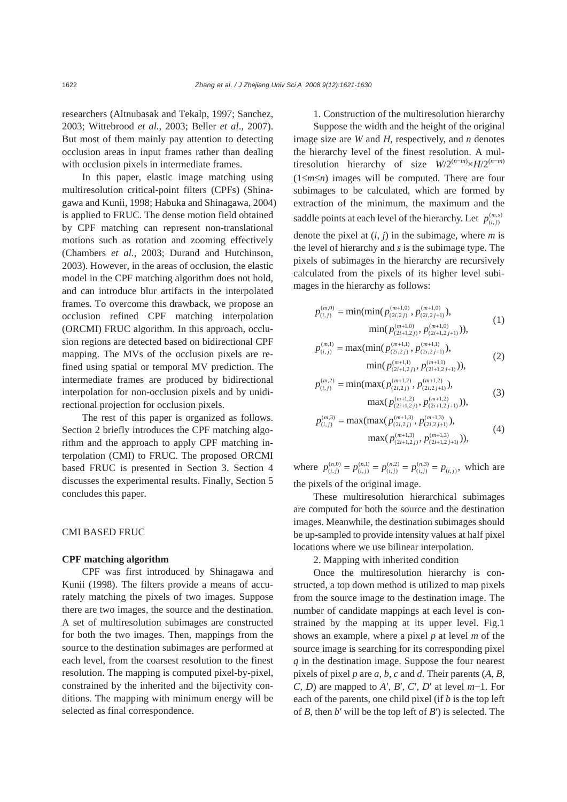researchers (Altnubasak and Tekalp, 1997; Sanchez, 2003; Wittebrood *et al.*, 2003; Beller *et al*., 2007). But most of them mainly pay attention to detecting occlusion areas in input frames rather than dealing with occlusion pixels in intermediate frames.

In this paper, elastic image matching using multiresolution critical-point filters (CPFs) (Shinagawa and Kunii, 1998; Habuka and Shinagawa, 2004) is applied to FRUC. The dense motion field obtained by CPF matching can represent non-translational motions such as rotation and zooming effectively (Chambers *et al.*, 2003; Durand and Hutchinson, 2003). However, in the areas of occlusion, the elastic model in the CPF matching algorithm does not hold, and can introduce blur artifacts in the interpolated frames. To overcome this drawback, we propose an occlusion refined CPF matching interpolation (ORCMI) FRUC algorithm. In this approach, occlusion regions are detected based on bidirectional CPF mapping. The MVs of the occlusion pixels are refined using spatial or temporal MV prediction. The intermediate frames are produced by bidirectional interpolation for non-occlusion pixels and by unidirectional projection for occlusion pixels.

The rest of this paper is organized as follows. Section 2 briefly introduces the CPF matching algorithm and the approach to apply CPF matching interpolation (CMI) to FRUC. The proposed ORCMI based FRUC is presented in Section 3. Section 4 discusses the experimental results. Finally, Section 5 concludes this paper.

# CMI BASED FRUC

## **CPF matching algorithm**

CPF was first introduced by Shinagawa and Kunii (1998). The filters provide a means of accurately matching the pixels of two images. Suppose there are two images, the source and the destination. A set of multiresolution subimages are constructed for both the two images. Then, mappings from the source to the destination subimages are performed at each level, from the coarsest resolution to the finest resolution. The mapping is computed pixel-by-pixel, constrained by the inherited and the bijectivity conditions. The mapping with minimum energy will be selected as final correspondence.

1. Construction of the multiresolution hierarchy Suppose the width and the height of the original image size are *W* and *H*, respectively, and *n* denotes the hierarchy level of the finest resolution. A multiresolution hierarchy of size  $W/2^{(n-m)} \times H/2^{(n-m)}$ (1≤*m*≤*n*) images will be computed. There are four subimages to be calculated, which are formed by extraction of the minimum, the maximum and the saddle points at each level of the hierarchy. Let  $p_{(i,j)}^{(m,s)}$ denote the pixel at (*i*, *j*) in the subimage, where *m* is the level of hierarchy and *s* is the subimage type. The pixels of subimages in the hierarchy are recursively calculated from the pixels of its higher level subimages in the hierarchy as follows:

$$
p_{(i,j)}^{(m,0)} = \min(\min(p_{(2i,2j)}^{(m+1,0)}, p_{(2i,2j+1)}^{(m+1,0)}),
$$
  
 
$$
\min(p_{(2i+1,2j)}^{(m+1,0)}, p_{(2i+1,2j+1)}^{(m+1,0)})),
$$
 (1)

$$
p_{(i,j)}^{(m,1)} = \max(\min(p_{(2i,2j)}^{(m+1,1)}, p_{(2i,2j+1)}^{(m+1,1)}),
$$
  
 
$$
\min(p_{(2i+1,2j)}^{(m+1,1)}, p_{(2i+1,2j+1)}^{(m+1,1)})),
$$
 (2)

$$
p_{(i,j)}^{(m,2)} = \min(\max(p_{(2i,2j)}^{(m+1,2)}, p_{(2i,2j+1)}^{(m+1,2)}),
$$
  

$$
\max(p_{(2i+1,2j)}^{(m+1,2)}, p_{(2i+1,2j+1)}^{(m+1,2)})),
$$
 (3)

$$
p_{(i,j)}^{(m,3)} = \max(\max(p_{(2i,2j)}^{(m+1,3)}, p_{(2i,2j+1)}^{(m+1,3)}),
$$
  

$$
\max(p_{(2i+1,2j)}^{(m+1,3)}, p_{(2i+1,2j+1)}^{(m+1,3)})),
$$
 (4)

where  $p_{(i,j)}^{(n,0)} = p_{(i,j)}^{(n,1)} = p_{(i,j)}^{(n,2)} = p_{(i,j)}^{(n,3)} = p_{(i,j)}$ , which are the pixels of the original image.

These multiresolution hierarchical subimages are computed for both the source and the destination images. Meanwhile, the destination subimages should be up-sampled to provide intensity values at half pixel locations where we use bilinear interpolation.

# 2. Mapping with inherited condition

Once the multiresolution hierarchy is constructed, a top down method is utilized to map pixels from the source image to the destination image. The number of candidate mappings at each level is constrained by the mapping at its upper level. Fig.1 shows an example, where a pixel *p* at level *m* of the source image is searching for its corresponding pixel *q* in the destination image. Suppose the four nearest pixels of pixel *p* are *a*, *b*, *c* and *d*. Their parents (*A*, *B*, *C*, *D*) are mapped to *A*′, *B*′, *C*′, *D*′ at level *m*−1. For each of the parents, one child pixel (if *b* is the top left of *B*, then *b*′ will be the top left of *B*′) is selected. The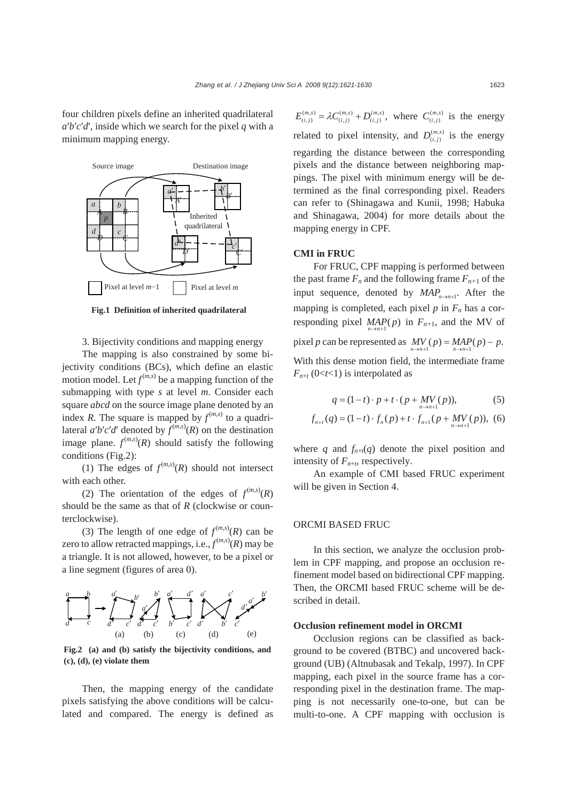four children pixels define an inherited quadrilateral  $a'b'c'd'$ , inside which we search for the pixel *q* with a minimum mapping energy.



**Fig.1 Definition of inherited quadrilateral** 

3. Bijectivity conditions and mapping energy

The mapping is also constrained by some bijectivity conditions (BCs), which define an elastic motion model. Let  $f^{(m,s)}$  be a mapping function of the submapping with type *s* at level *m*. Consider each square *abcd* on the source image plane denoted by an index *R*. The square is mapped by  $f^{(m,s)}$  to a quadrilateral  $a'b'c'd'$  denoted by  $f^{(m,s)}(R)$  on the destination image plane.  $f^{(m,s)}(R)$  should satisfy the following conditions (Fig.2):

(1) The edges of  $f^{(m,s)}(R)$  should not intersect with each other.

(2) The orientation of the edges of  $f^{(m,s)}(R)$ should be the same as that of *R* (clockwise or counterclockwise).

(3) The length of one edge of  $f^{(m,s)}(R)$  can be zero to allow retracted mappings, i.e.,  $f^{(m,s)}(R)$  may be a triangle. It is not allowed, however, to be a pixel or a line segment (figures of area 0).



**Fig.2 (a) and (b) satisfy the bijectivity conditions, and (c), (d), (e) violate them** 

Then, the mapping energy of the candidate pixels satisfying the above conditions will be calculated and compared. The energy is defined as

 $E_{(i,j)}^{(m,s)} = \lambda C_{(i,j)}^{(m,s)} + D_{(i,j)}^{(m,s)}$ , where  $C_{(i,j)}^{(m,s)}$  is the energy related to pixel intensity, and  $D_{(i,j)}^{(m,s)}$  is the energy regarding the distance between the corresponding pixels and the distance between neighboring mappings. The pixel with minimum energy will be determined as the final corresponding pixel. Readers can refer to (Shinagawa and Kunii, 1998; Habuka and Shinagawa, 2004) for more details about the mapping energy in CPF.

## **CMI in FRUC**

For FRUC, CPF mapping is performed between the past frame  $F_n$  and the following frame  $F_{n+1}$  of the input sequence, denoted by  $MAP_{n\rightarrow n+1}$ . After the mapping is completed, each pixel  $p$  in  $F_n$  has a corresponding pixel  $MAP(p)$  in  $F_{n+1}$ , and the MV of pixel *p* can be represented as  $\frac{MV}{n \rightarrow n+1}(p) = \frac{MAP}{n \rightarrow n+1}(p) - p$ . With this dense motion field, the intermediate frame  $F_{n+t}$  (0<*t*<1) is interpolated as

$$
q = (1 - t) \cdot p + t \cdot (p + MV_{n \to n+1}(p)), \tag{5}
$$

$$
f_{n+t}(q) = (1-t) \cdot f_n(p) + t \cdot f_{n+1}(p + MV_{n+n+1}(p)), \tag{6}
$$

where *q* and  $f_{n+t}(q)$  denote the pixel position and intensity of  $F_{n+t}$ , respectively.

An example of CMI based FRUC experiment will be given in Section 4.

## ORCMI BASED FRUC

In this section, we analyze the occlusion problem in CPF mapping, and propose an occlusion refinement model based on bidirectional CPF mapping. Then, the ORCMI based FRUC scheme will be described in detail.

## **Occlusion refinement model in ORCMI**

Occlusion regions can be classified as background to be covered (BTBC) and uncovered background (UB) (Altnubasak and Tekalp, 1997). In CPF mapping, each pixel in the source frame has a corresponding pixel in the destination frame. The mapping is not necessarily one-to-one, but can be multi-to-one. A CPF mapping with occlusion is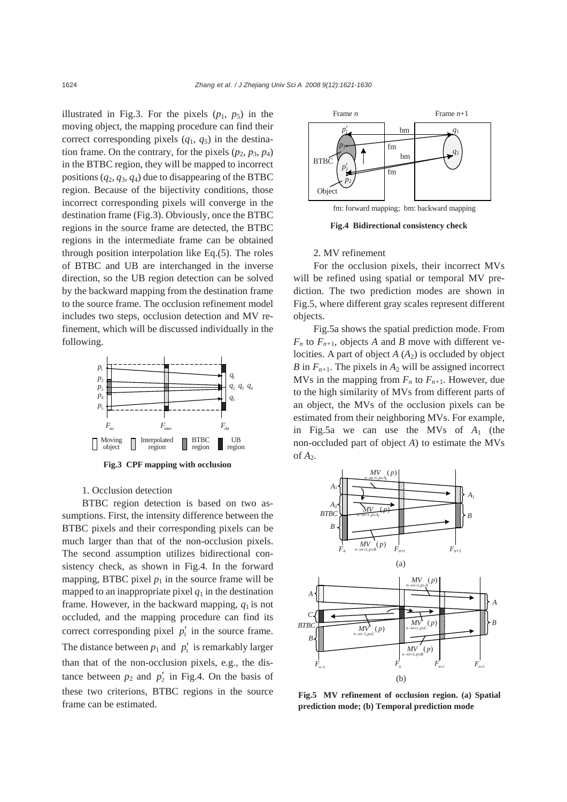illustrated in Fig.3. For the pixels  $(p_1, p_5)$  in the moving object, the mapping procedure can find their correct corresponding pixels  $(q_1, q_5)$  in the destination frame. On the contrary, for the pixels  $(p_2, p_3, p_4)$ in the BTBC region, they will be mapped to incorrect positions  $(q_2, q_3, q_4)$  due to disappearing of the BTBC region. Because of the bijectivity conditions, those incorrect corresponding pixels will converge in the destination frame (Fig.3). Obviously, once the BTBC regions in the source frame are detected, the BTBC regions in the intermediate frame can be obtained through position interpolation like Eq.(5). The roles of BTBC and UB are interchanged in the inverse direction, so the UB region detection can be solved by the backward mapping from the destination frame to the source frame. The occlusion refinement model includes two steps, occlusion detection and MV refinement, which will be discussed individually in the following.



## 1. Occlusion detection

BTBC region detection is based on two assumptions. First, the intensity difference between the BTBC pixels and their corresponding pixels can be much larger than that of the non-occlusion pixels. The second assumption utilizes bidirectional consistency check, as shown in Fig.4. In the forward mapping, BTBC pixel  $p_1$  in the source frame will be mapped to an inappropriate pixel  $q_1$  in the destination frame. However, in the backward mapping,  $q_1$  is not occluded, and the mapping procedure can find its correct corresponding pixel  $p'$  in the source frame. The distance between  $p_1$  and  $p'_1$  is remarkably larger than that of the non-occlusion pixels, e.g., the distance between  $p_2$  and  $p'_2$  in Fig.4. On the basis of these two criterions, BTBC regions in the source frame can be estimated.



**Fig.4 Bidirectional consistency check**

#### 2. MV refinement

For the occlusion pixels, their incorrect MVs will be refined using spatial or temporal MV prediction. The two prediction modes are shown in Fig.5, where different gray scales represent different objects.

Fig.5a shows the spatial prediction mode. From  $F_n$  to  $F_{n+1}$ , objects *A* and *B* move with different velocities. A part of object  $A(A_2)$  is occluded by object *B* in  $F_{n+1}$ . The pixels in  $A_2$  will be assigned incorrect MVs in the mapping from  $F_n$  to  $F_{n+1}$ . However, due to the high similarity of MVs from different parts of an object, the MVs of the occlusion pixels can be estimated from their neighboring MVs. For example, in Fig.5a we can use the MVs of *A*1 (the non-occluded part of object *A*) to estimate the MVs



**Fig.5 MV refinement of occlusion region. (a) Spatial prediction mode; (b) Temporal prediction mode**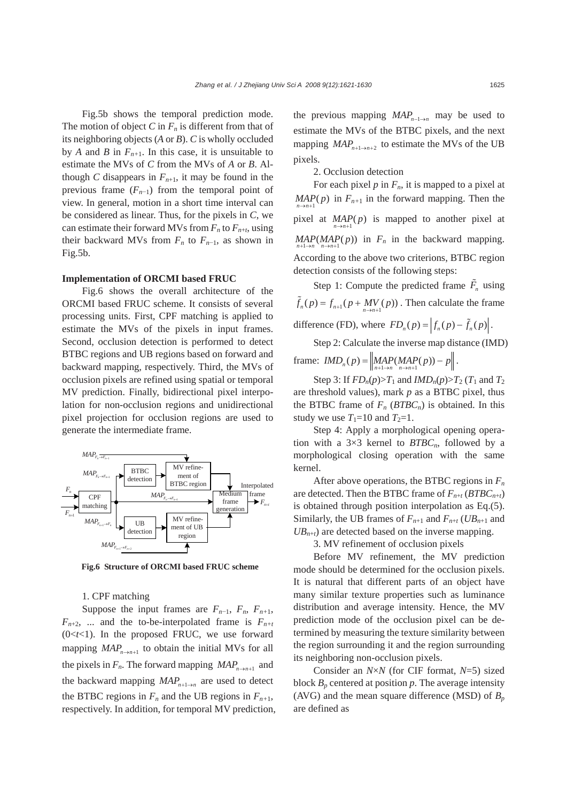Fig.5b shows the temporal prediction mode. The motion of object  $C$  in  $F_n$  is different from that of its neighboring objects (*A* or *B*). *C* is wholly occluded by *A* and *B* in  $F_{n+1}$ . In this case, it is unsuitable to estimate the MVs of *C* from the MVs of *A* or *B*. Although *C* disappears in  $F_{n+1}$ , it may be found in the previous frame  $(F_{n-1})$  from the temporal point of view. In general, motion in a short time interval can be considered as linear. Thus, for the pixels in *C*, we can estimate their forward MVs from  $F_n$  to  $F_{n+t}$ , using their backward MVs from  $F_n$  to  $F_{n-1}$ , as shown in Fig.5b.

# **Implementation of ORCMI based FRUC**

Fig.6 shows the overall architecture of the ORCMI based FRUC scheme. It consists of several processing units. First, CPF matching is applied to estimate the MVs of the pixels in input frames. Second, occlusion detection is performed to detect BTBC regions and UB regions based on forward and backward mapping, respectively. Third, the MVs of occlusion pixels are refined using spatial or temporal MV prediction. Finally, bidirectional pixel interpolation for non-occlusion regions and unidirectional pixel projection for occlusion regions are used to generate the intermediate frame.



**Fig.6 Structure of ORCMI based FRUC scheme** 

## 1. CPF matching

Suppose the input frames are  $F_{n-1}$ ,  $F_n$ ,  $F_{n+1}$ ,  $F_{n+2}$ , ... and the to-be-interpolated frame is  $F_{n+1}$ (0<*t*<1). In the proposed FRUC, we use forward mapping  $MAP_{n\rightarrow n+1}$  to obtain the initial MVs for all the pixels in  $F_n$ . The forward mapping  $MAP_{n\rightarrow n+1}$  and the backward mapping  $MAP_{n+1\rightarrow n}$  are used to detect the BTBC regions in  $F_n$  and the UB regions in  $F_{n+1}$ , respectively. In addition, for temporal MV prediction, the previous mapping  $MAP_{n-1\rightarrow n}$  may be used to estimate the MVs of the BTBC pixels, and the next mapping  $MAP_{n+1\rightarrow n+2}$  to estimate the MVs of the UB pixels.

2. Occlusion detection

For each pixel  $p$  in  $F_n$ , it is mapped to a pixel at  $\text{MAP}(p)$  in  $F_{n+1}$  in the forward mapping. Then the pixel at  $\underset{n \to n+1}{MAP(p)}$  is mapped to another pixel at  $MAP(MAP(p))$  in  $F_n$  in the backward mapping. According to the above two criterions, BTBC region detection consists of the following steps:

Step 1: Compute the predicted frame  $\tilde{F}_n$  using  $\tilde{f}_n(p) = f_{n+1}(p + MV(p))$ . Then calculate the frame difference (FD), where  $FD_n(p) = \left| f_n(p) - \tilde{f}_n(p) \right|$ .

Step 2: Calculate the inverse map distance (IMD) frame:  $IMD_n(p) = \left\| \underset{n+1 \to n}{MAP}(MAP(p)) - p \right\|.$ 

Step 3: If  $FD_n(p) > T_1$  and  $IMD_n(p) > T_2$  ( $T_1$  and  $T_2$ ) are threshold values), mark *p* as a BTBC pixel, thus the BTBC frame of  $F_n$  ( $BTBC_n$ ) is obtained. In this study we use  $T_1=10$  and  $T_2=1$ .

Step 4: Apply a morphological opening operation with a  $3\times3$  kernel to  $BTBC_n$ , followed by a morphological closing operation with the same kernel.

After above operations, the BTBC regions in *Fn* are detected. Then the BTBC frame of  $F_{n+t}$  (*BTBC*<sub>*n+t*</sub>) is obtained through position interpolation as Eq.(5). Similarly, the UB frames of  $F_{n+1}$  and  $F_{n+t}$  (*UB<sub>n+1</sub>* and  $UB_{n+t}$ ) are detected based on the inverse mapping.

3. MV refinement of occlusion pixels

Before MV refinement, the MV prediction mode should be determined for the occlusion pixels. It is natural that different parts of an object have many similar texture properties such as luminance distribution and average intensity. Hence, the MV prediction mode of the occlusion pixel can be determined by measuring the texture similarity between the region surrounding it and the region surrounding its neighboring non-occlusion pixels.

Consider an *N*×*N* (for CIF format, *N*=5) sized block  $B_p$  centered at position p. The average intensity (AVG) and the mean square difference (MSD) of  $B_p$ are defined as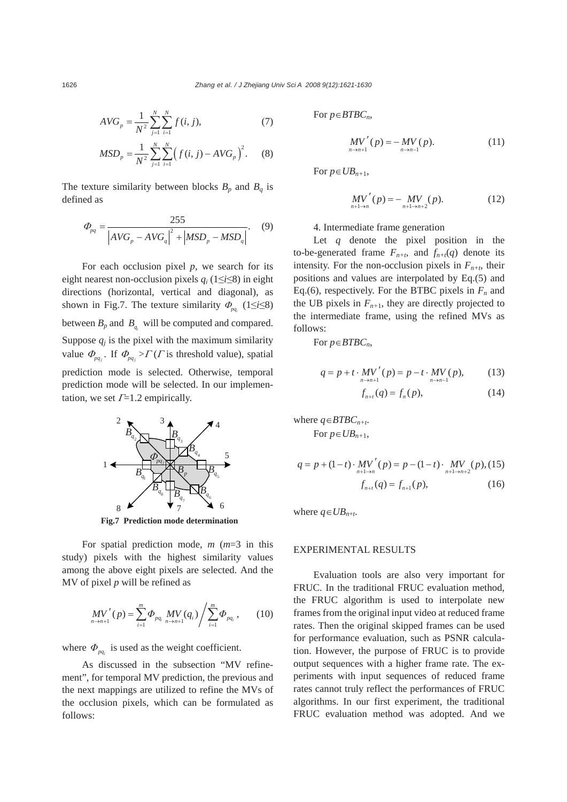$$
AVG_p = \frac{1}{N^2} \sum_{j=1}^{N} \sum_{i=1}^{N} f(i, j),
$$
 (7)

$$
MSD_p = \frac{1}{N^2} \sum_{j=1}^{N} \sum_{i=1}^{N} \left( f(i, j) - AVG_p \right)^2.
$$
 (8)

The texture similarity between blocks  $B_p$  and  $B_q$  is defined as

$$
\Phi_{pq} = \frac{255}{\left| AVG_p - AVG_q \right|^2 + \left| MSD_p - MSD_q \right|}. \tag{9}
$$

For each occlusion pixel *p*, we search for its eight nearest non-occlusion pixels *qi* (1≤*i*≤8) in eight directions (horizontal, vertical and diagonal), as shown in Fig.7. The texture similarity  $\Phi_{pq}$  (1≤*i*≤8) between  $B_p$  and  $B_q$  will be computed and compared. Suppose  $q_i$  is the pixel with the maximum similarity value  $\Phi_{pq_j}$ . If  $\Phi_{pq_j}$  >  $\Gamma$  (*Γ* is threshold value), spatial prediction mode is selected. Otherwise, temporal prediction mode will be selected. In our implementation, we set  $\Gamma$ =1.2 empirically.



**Fig.7 Prediction mode determination** 

For spatial prediction mode, *m* (*m*=3 in this study) pixels with the highest similarity values among the above eight pixels are selected. And the MV of pixel *p* will be refined as

$$
MV'_{n\to n+1}(p) = \sum_{i=1}^{m} \Phi_{pq_i} \, MV_{n\to n+1}(q_i) / \sum_{i=1}^{m} \Phi_{pq_i} \,, \qquad (10)
$$

where  $\Phi_{pq}$  is used as the weight coefficient.

As discussed in the subsection "MV refinement", for temporal MV prediction, the previous and the next mappings are utilized to refine the MVs of the occlusion pixels, which can be formulated as follows:

For *p*∈*BTBCn*,

$$
MV'(p) = -MV(p). \t(11)
$$

For  $p \in UB_{n+1}$ ,

$$
MV'(p) = -MV(p).
$$
 (12)

4. Intermediate frame generation

Let *q* denote the pixel position in the to-be-generated frame  $F_{n+t}$ , and  $f_{n+t}(q)$  denote its intensity. For the non-occlusion pixels in  $F_{n+t}$ , their positions and values are interpolated by Eq.(5) and Eq.(6), respectively. For the BTBC pixels in  $F_n$  and the UB pixels in  $F_{n+1}$ , they are directly projected to the intermediate frame, using the refined MVs as follows:

For *p*∈*BTBCn*,

$$
q = p + t \cdot MV'(p) = p - t \cdot MV(p), \qquad (13)
$$

$$
f_{n+t}(q) = f_n(p),
$$
 (14)

where 
$$
q \in BTBC_{n+t}
$$
.  
For  $p \in UB_{n+1}$ ,

$$
q = p + (1 - t) \cdot MV'(p) = p - (1 - t) \cdot MV'(p), (15)
$$
  

$$
f_{n+t}(q) = f_{n+1}(p),
$$
 (16)

where  $q \in UB_{n+t}$ .

# EXPERIMENTAL RESULTS

Evaluation tools are also very important for FRUC. In the traditional FRUC evaluation method, the FRUC algorithm is used to interpolate new frames from the original input video at reduced frame rates. Then the original skipped frames can be used for performance evaluation, such as PSNR calculation. However, the purpose of FRUC is to provide output sequences with a higher frame rate. The experiments with input sequences of reduced frame rates cannot truly reflect the performances of FRUC algorithms. In our first experiment, the traditional FRUC evaluation method was adopted. And we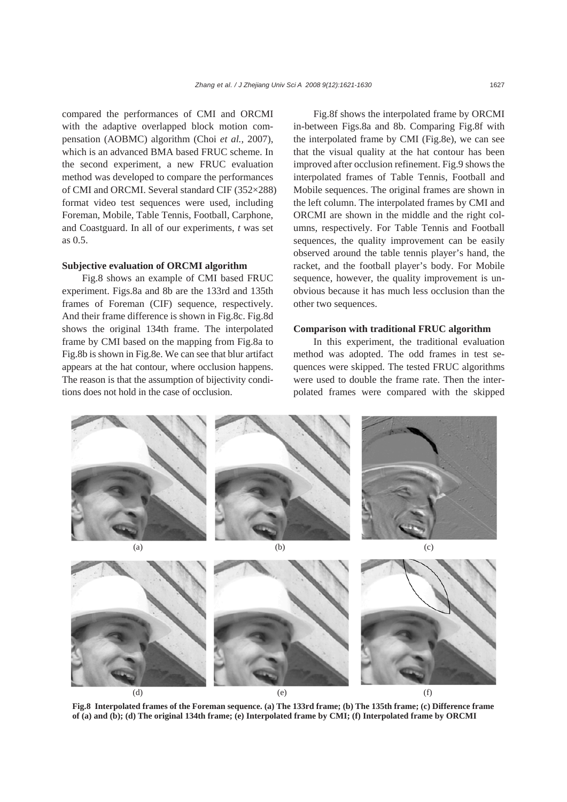compared the performances of CMI and ORCMI with the adaptive overlapped block motion compensation (AOBMC) algorithm (Choi *et al.*, 2007), which is an advanced BMA based FRUC scheme. In the second experiment, a new FRUC evaluation method was developed to compare the performances of CMI and ORCMI. Several standard CIF (352×288) format video test sequences were used, including Foreman, Mobile, Table Tennis, Football, Carphone, and Coastguard. In all of our experiments, *t* was set as 0.5.

## **Subjective evaluation of ORCMI algorithm**

Fig.8 shows an example of CMI based FRUC experiment. Figs.8a and 8b are the 133rd and 135th frames of Foreman (CIF) sequence, respectively. And their frame difference is shown in Fig.8c. Fig.8d shows the original 134th frame. The interpolated frame by CMI based on the mapping from Fig.8a to Fig.8b is shown in Fig.8e. We can see that blur artifact appears at the hat contour, where occlusion happens. The reason is that the assumption of bijectivity conditions does not hold in the case of occlusion.

Fig.8f shows the interpolated frame by ORCMI in-between Figs.8a and 8b. Comparing Fig.8f with the interpolated frame by CMI (Fig.8e), we can see that the visual quality at the hat contour has been improved after occlusion refinement. Fig.9 shows the interpolated frames of Table Tennis, Football and Mobile sequences. The original frames are shown in the left column. The interpolated frames by CMI and ORCMI are shown in the middle and the right columns, respectively. For Table Tennis and Football sequences, the quality improvement can be easily observed around the table tennis player's hand, the racket, and the football player's body. For Mobile sequence, however, the quality improvement is unobvious because it has much less occlusion than the other two sequences.

# **Comparison with traditional FRUC algorithm**

In this experiment, the traditional evaluation method was adopted. The odd frames in test sequences were skipped. The tested FRUC algorithms were used to double the frame rate. Then the interpolated frames were compared with the skipped



**Fig.8 Interpolated frames of the Foreman sequence. (a) The 133rd frame; (b) The 135th frame; (c) Difference frame of (a) and (b); (d) The original 134th frame; (e) Interpolated frame by CMI; (f) Interpolated frame by ORCMI**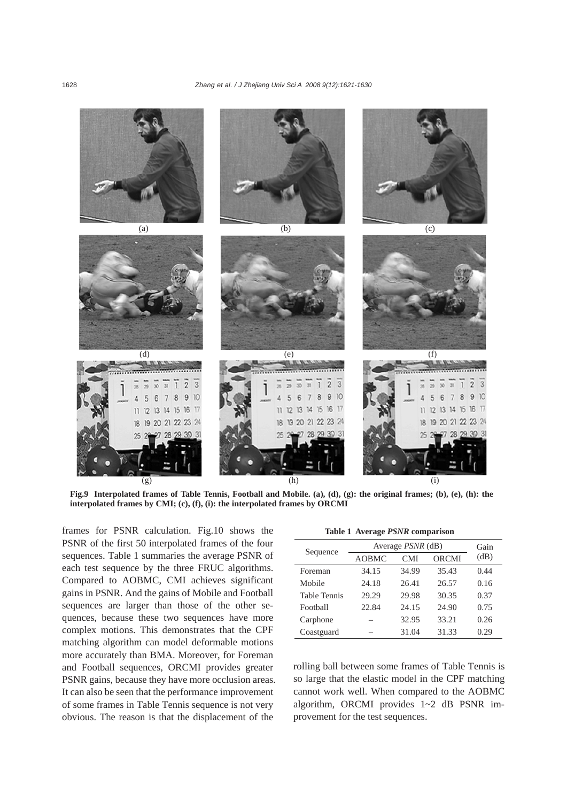

**Fig.9 Interpolated frames of Table Tennis, Football and Mobile. (a), (d), (g): the original frames; (b), (e), (h): the interpolated frames by CMI; (c), (f), (i): the interpolated frames by ORCMI**

frames for PSNR calculation. Fig.10 shows the PSNR of the first 50 interpolated frames of the four sequences. Table 1 summaries the average PSNR of each test sequence by the three FRUC algorithms. Compared to AOBMC, CMI achieves significant gains in PSNR. And the gains of Mobile and Football sequences are larger than those of the other sequences, because these two sequences have more complex motions. This demonstrates that the CPF matching algorithm can model deformable motions more accurately than BMA. Moreover, for Foreman and Football sequences, ORCMI provides greater PSNR gains, because they have more occlusion areas. It can also be seen that the performance improvement of some frames in Table Tennis sequence is not very obvious. The reason is that the displacement of the

|  | Table 1 Average <i>PSNR</i> comparison |
|--|----------------------------------------|
|  |                                        |

| Sequence            | Average $PSNR$ (dB) | Gain       |              |      |
|---------------------|---------------------|------------|--------------|------|
|                     | AOBMC               | <b>CMI</b> | <b>ORCMI</b> | (dB) |
| Foreman             | 34.15               | 34.99      | 35.43        | 0.44 |
| Mobile              | 24.18               | 26.41      | 26.57        | 0.16 |
| <b>Table Tennis</b> | 29.29               | 29.98      | 30.35        | 0.37 |
| Football            | 22.84               | 24.15      | 24.90        | 0.75 |
| Carphone            |                     | 32.95      | 33.21        | 0.26 |
| Coastguard          |                     | 31.04      | 31.33        | 0.29 |

rolling ball between some frames of Table Tennis is so large that the elastic model in the CPF matching cannot work well. When compared to the AOBMC algorithm, ORCMI provides 1~2 dB PSNR improvement for the test sequences.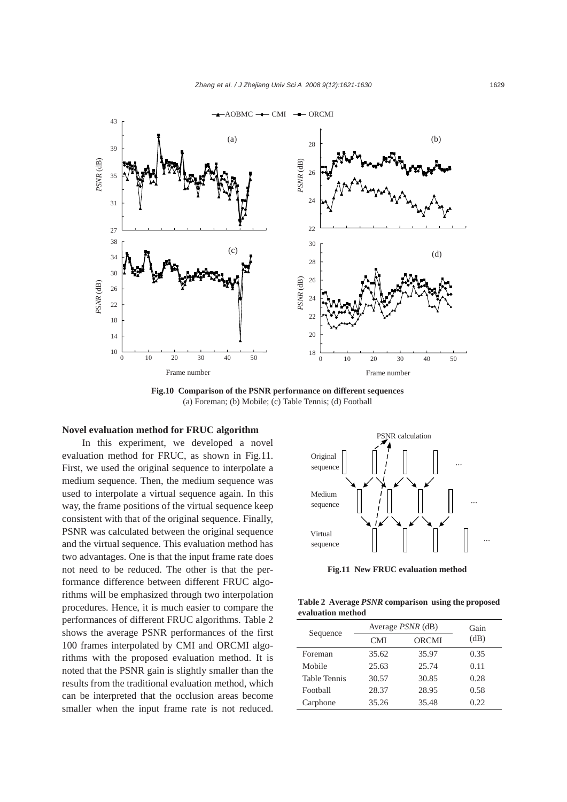

**Fig.10 Comparison of the PSNR performance on different sequences**  (a) Foreman; (b) Mobile; (c) Table Tennis; (d) Football

## **Novel evaluation method for FRUC algorithm**

In this experiment, we developed a novel evaluation method for FRUC, as shown in Fig.11. First, we used the original sequence to interpolate a medium sequence. Then, the medium sequence was used to interpolate a virtual sequence again. In this way, the frame positions of the virtual sequence keep consistent with that of the original sequence. Finally, PSNR was calculated between the original sequence and the virtual sequence. This evaluation method has two advantages. One is that the input frame rate does not need to be reduced. The other is that the performance difference between different FRUC algorithms will be emphasized through two interpolation procedures. Hence, it is much easier to compare the performances of different FRUC algorithms. Table 2 shows the average PSNR performances of the first 100 frames interpolated by CMI and ORCMI algorithms with the proposed evaluation method. It is noted that the PSNR gain is slightly smaller than the results from the traditional evaluation method, which can be interpreted that the occlusion areas become smaller when the input frame rate is not reduced.



**Fig.11 New FRUC evaluation method** 

**Table 2 Average** *PSNR* **comparison using the proposed evaluation method** 

| Sequence            | Average <i>PSNR</i> (dB) | Gain         |      |
|---------------------|--------------------------|--------------|------|
|                     | <b>CMI</b>               | <b>ORCMI</b> |      |
| Foreman             | 35.62                    | 35.97        | 0.35 |
| Mobile              | 25.63                    | 25.74        | 0.11 |
| <b>Table Tennis</b> | 30.57                    | 30.85        | 0.28 |
| Football            | 28.37                    | 28.95        | 0.58 |
| Carphone            | 35.26                    | 35.48        | 0.22 |